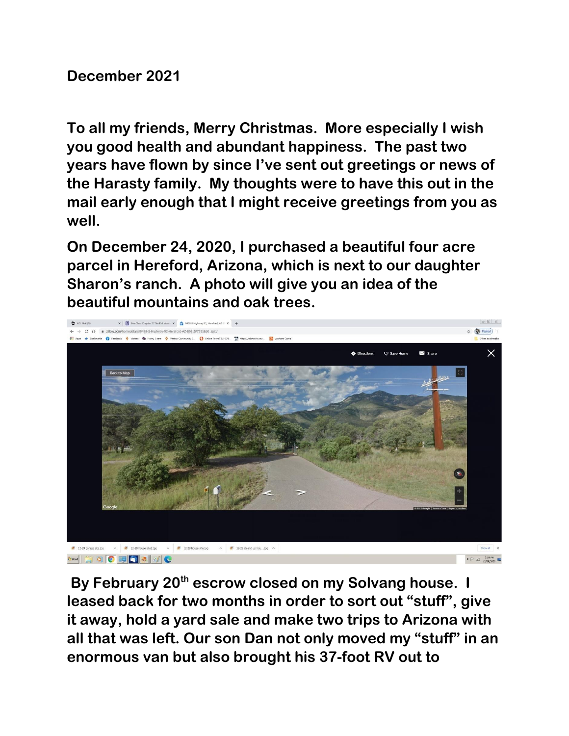**December 2021**

**To all my friends, Merry Christmas. More especially I wish you good health and abundant happiness. The past two years have flown by since I've sent out greetings or news of the Harasty family. My thoughts were to have this out in the mail early enough that I might receive greetings from you as well.**

**On December 24, 2020, I purchased a beautiful four acre parcel in Hereford, Arizona, which is next to our daughter Sharon's ranch. A photo will give you an idea of the beautiful mountains and oak trees.**



**By February 20th escrow closed on my Solvang house. I leased back for two months in order to sort out "stuff", give it away, hold a yard sale and make two trips to Arizona with all that was left. Our son Dan not only moved my "stuff" in an enormous van but also brought his 37-foot RV out to**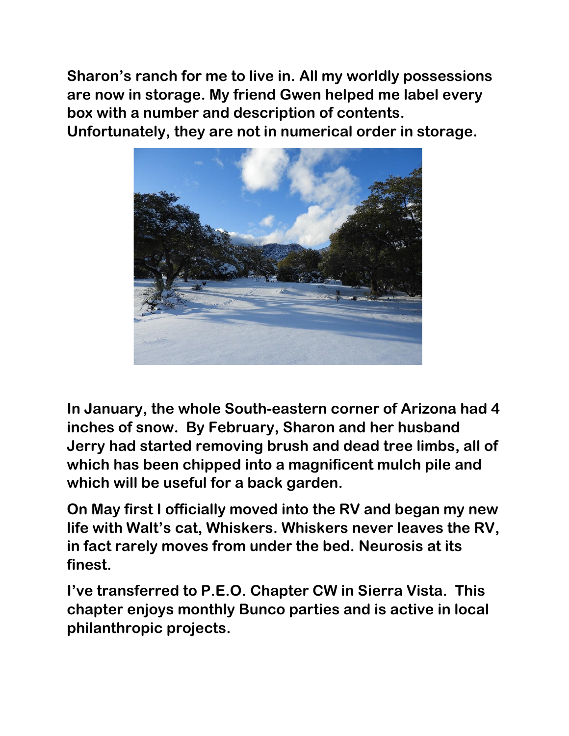**Sharon's ranch for me to live in. All my worldly possessions are now in storage. My friend Gwen helped me label every box with a number and description of contents.** 

**Unfortunately, they are not in numerical order in storage.**



**In January, the whole South-eastern corner of Arizona had 4 inches of snow. By February, Sharon and her husband Jerry had started removing brush and dead tree limbs, all of which has been chipped into a magnificent mulch pile and which will be useful for a back garden.**

**On May first I officially moved into the RV and began my new life with Walt's cat, Whiskers. Whiskers never leaves the RV, in fact rarely moves from under the bed. Neurosis at its finest.**

**I've transferred to P.E.O. Chapter CW in Sierra Vista. This chapter enjoys monthly Bunco parties and is active in local philanthropic projects.**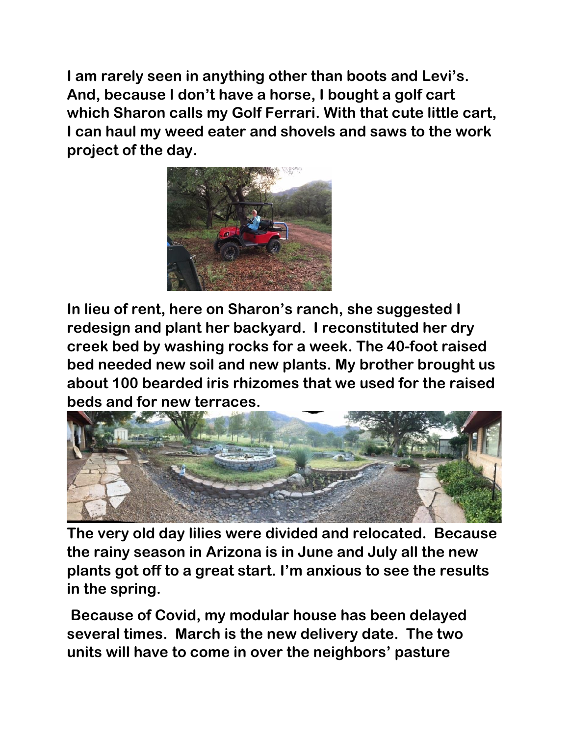**I am rarely seen in anything other than boots and Levi's. And, because I don't have a horse, I bought a golf cart which Sharon calls my Golf Ferrari. With that cute little cart, I can haul my weed eater and shovels and saws to the work project of the day.**



**In lieu of rent, here on Sharon's ranch, she suggested I redesign and plant her backyard. I reconstituted her dry creek bed by washing rocks for a week. The 40-foot raised bed needed new soil and new plants. My brother brought us about 100 bearded iris rhizomes that we used for the raised beds and for new terraces.** 



**The very old day lilies were divided and relocated. Because the rainy season in Arizona is in June and July all the new plants got off to a great start. I'm anxious to see the results in the spring.**

**Because of Covid, my modular house has been delayed several times. March is the new delivery date. The two units will have to come in over the neighbors' pasture**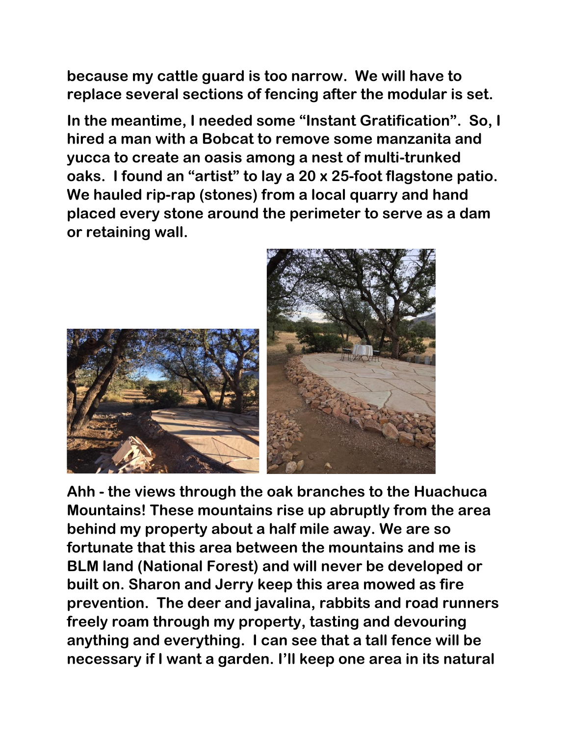**because my cattle guard is too narrow. We will have to replace several sections of fencing after the modular is set.**

**In the meantime, I needed some "Instant Gratification". So, I hired a man with a Bobcat to remove some manzanita and yucca to create an oasis among a nest of multi-trunked oaks. I found an "artist" to lay a 20 x 25-foot flagstone patio. We hauled rip-rap (stones) from a local quarry and hand placed every stone around the perimeter to serve as a dam or retaining wall.** 



**Ahh - the views through the oak branches to the Huachuca Mountains! These mountains rise up abruptly from the area behind my property about a half mile away. We are so fortunate that this area between the mountains and me is BLM land (National Forest) and will never be developed or built on. Sharon and Jerry keep this area mowed as fire prevention. The deer and javalina, rabbits and road runners freely roam through my property, tasting and devouring anything and everything. I can see that a tall fence will be necessary if I want a garden. I'll keep one area in its natural**